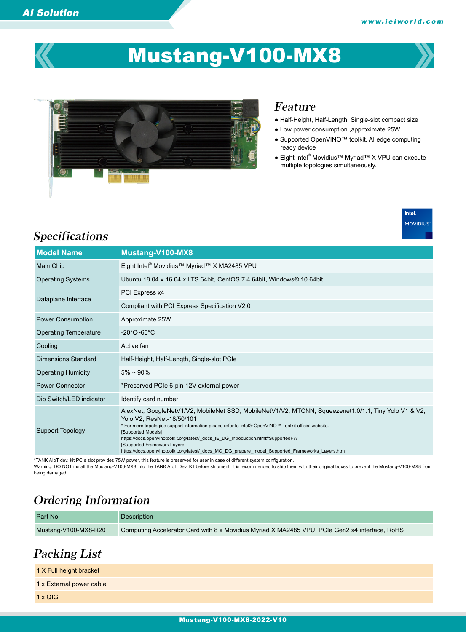

# Mustang-V100-MX8



#### Feature

- Half-Height, Half-Length, Single-slot compact size
- Low power consumption ,approximate 25W
- Supported OpenVINO™ toolkit, AI edge computing ready device
- Eight Intel® Movidius™ Myriad™ X VPU can execute multiple topologies simultaneously.



# Specifications

| <b>Model Name</b>            | Mustang-V100-MX8                                                                                                                                                                                                                                                                                                                                                                                                                                                                           |  |  |
|------------------------------|--------------------------------------------------------------------------------------------------------------------------------------------------------------------------------------------------------------------------------------------------------------------------------------------------------------------------------------------------------------------------------------------------------------------------------------------------------------------------------------------|--|--|
| Main Chip                    | Eight Intel <sup>®</sup> Movidius™ Myriad™ X MA2485 VPU                                                                                                                                                                                                                                                                                                                                                                                                                                    |  |  |
| <b>Operating Systems</b>     | Ubuntu 18.04 x 16.04 x LTS 64bit, CentOS 7.4 64bit, Windows® 10 64bit                                                                                                                                                                                                                                                                                                                                                                                                                      |  |  |
| Dataplane Interface          | PCI Express x4                                                                                                                                                                                                                                                                                                                                                                                                                                                                             |  |  |
|                              | Compliant with PCI Express Specification V2.0                                                                                                                                                                                                                                                                                                                                                                                                                                              |  |  |
| <b>Power Consumption</b>     | Approximate 25W                                                                                                                                                                                                                                                                                                                                                                                                                                                                            |  |  |
| <b>Operating Temperature</b> | $-20^{\circ}$ C~60 $^{\circ}$ C                                                                                                                                                                                                                                                                                                                                                                                                                                                            |  |  |
| Cooling                      | Active fan                                                                                                                                                                                                                                                                                                                                                                                                                                                                                 |  |  |
| <b>Dimensions Standard</b>   | Half-Height, Half-Length, Single-slot PCIe                                                                                                                                                                                                                                                                                                                                                                                                                                                 |  |  |
| <b>Operating Humidity</b>    | $5\% \sim 90\%$                                                                                                                                                                                                                                                                                                                                                                                                                                                                            |  |  |
| <b>Power Connector</b>       | *Preserved PCIe 6-pin 12V external power                                                                                                                                                                                                                                                                                                                                                                                                                                                   |  |  |
| Dip Switch/LED indicator     | Identify card number                                                                                                                                                                                                                                                                                                                                                                                                                                                                       |  |  |
| <b>Support Topology</b>      | AlexNet, GoogleNetV1/V2, MobileNet SSD, MobileNetV1/V2, MTCNN, Squeezenet1.0/1.1, Tiny Yolo V1 & V2,<br>Yolo V2. ResNet-18/50/101<br>* For more topologies support information please refer to Intel® OpenVINO™ Toolkit official website.<br>[Supported Models]<br>https://docs.openvinotoolkit.org/latest/ docs IE DG Introduction.html#SupportedFW<br>[Supported Framework Layers]<br>https://docs.openvinotoolkit.org/latest/ docs MO DG prepare model Supported Frameworks Layers.html |  |  |

\*TANK AIoT dev. kit PCIe slot provides 75W power, this feature is preserved for user in case of different system configuration. Warning: DO NOT install the Mustang-V100-MX8 into the TANK AIoT Dev. Kit before shipment. It is recommended to ship them with their original boxes to prevent the Mustang-V100-MX8 from being damaged.

### Ordering Information

| Part No.             | Description                                                                                    |
|----------------------|------------------------------------------------------------------------------------------------|
| Mustang-V100-MX8-R20 | Computing Accelerator Card with 8 x Movidius Myriad X MA2485 VPU, PCIe Gen2 x4 interface, RoHS |

## Packing List

| 1 X Full height bracket  |  |
|--------------------------|--|
| 1 x External power cable |  |
| $1 \times QIG$           |  |